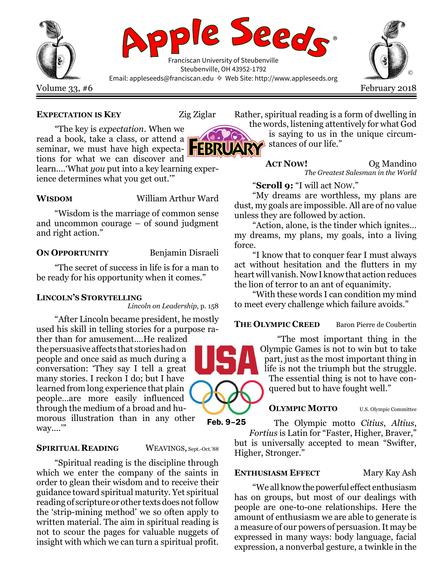

# EXPECTATION IS KEY Zig Ziglar

"The key is expectation. When we read a book, take a class, or attend a seminar, we must have high expectations for what we can discover and

learn.…'What you put into a key learning experience determines what you get out.'"

WISDOM William Arthur Ward

"Wisdom is the marriage of common sense and uncommon courage – of sound judgment and right action."

### ON OPPORTUNITY Benjamin Disraeli

"The secret of success in life is for a man to be ready for his opportunity when it comes."

# LINCOLN'S STORYTELLING

Lincoln on Leadership, p. 158

"After Lincoln became president, he mostly used his skill in telling stories for a purpose ra-

ther than for amusement.…He realized the persuasive affects that stories had on people and once said as much during a conversation: 'They say I tell a great many stories. I reckon I do; but I have learned from long experience that plain people…are more easily influenced through the medium of a broad and humorous illustration than in any other way...."

## SPIRITUAL READING WEAVINGS, Sept.-Oct.'88

"Spiritual reading is the discipline through which we enter the company of the saints in order to glean their wisdom and to receive their guidance toward spiritual maturity. Yet spiritual reading of scripture or other texts does not follow the 'strip-mining method' we so often apply to written material. The aim in spiritual reading is not to scour the pages for valuable nuggets of insight with which we can turn a spiritual profit.

Rather, spiritual reading is a form of dwelling in the words, listening attentively for what God

1733R

is saying to us in the unique circum-

ACT NOW! Og Mandino The Greatest Salesman in the World

"Scroll 9: "I will act NOW."

stances of our life."

"My dreams are worthless, my plans are dust, my goals are impossible. All are of no value unless they are followed by action.

"Action, alone, is the tinder which ignites… my dreams, my plans, my goals, into a living force.

"I know that to conquer fear I must always act without hesitation and the flutters in my heart will vanish. Now I know that action reduces the lion of terror to an ant of equanimity.

"With these words I can condition my mind to meet every challenge which failure avoids."

THE OLYMPIC CREED Baron Pierre de Coubertin

"The most important thing in the Olympic Games is not to win but to take part, just as the most important thing in life is not the triumph but the struggle. The essential thing is not to have conquered but to have fought well."

# **OLYMPIC MOTTO** U.S. Olympic Committee

Feb. 9–25 The Olympic motto Citius, Altius, Fortius is Latin for "Faster, Higher, Braver," but is universally accepted to mean "Swifter, Higher, Stronger."

# ENTHUSIASM EFFECT Mary Kay Ash

"We all know the powerful effect enthusiasm has on groups, but most of our dealings with people are one-to-one relationships. Here the amount of enthusiasm we are able to generate is a measure of our powers of persuasion. It may be expressed in many ways: body language, facial expression, a nonverbal gesture, a twinkle in the